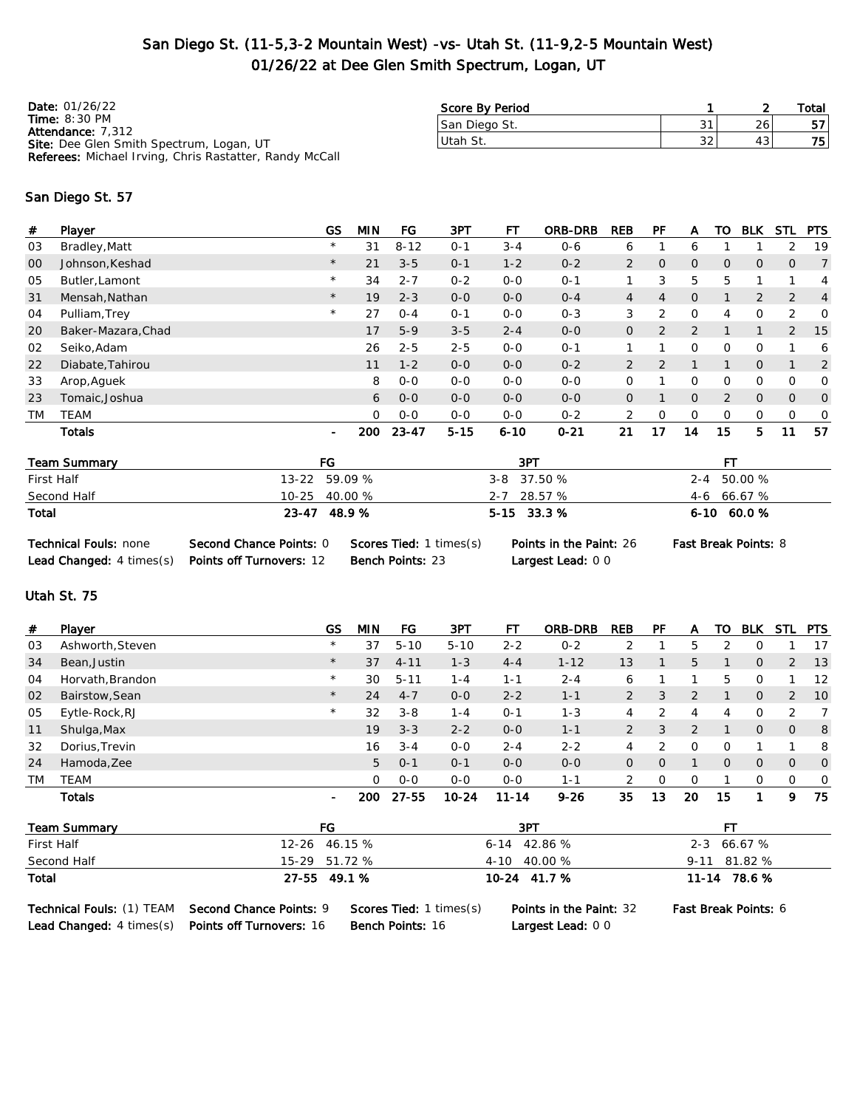### San Diego St. (11-5,3-2 Mountain West) -vs- Utah St. (11-9,2-5 Mountain West) 01/26/22 at Dee Glen Smith Spectrum, Logan, UT

| <b>Date: 01/26/22</b>                                                | Score By Period |    |    | Total |
|----------------------------------------------------------------------|-----------------|----|----|-------|
| <b>Time: 8:30 PM</b>                                                 | San Diego St.   |    | 26 | 57    |
| <b>Attendance: 7,312</b><br>Site: Dee Glen Smith Spectrum, Logan, UT | '∪tah St.       | 32 | 43 | 751   |
| <b>Referees:</b> Michael Irving, Chris Rastatter, Randy McCall       |                 |    |    |       |

#### San Diego St. 57

| #         | Player             | GS      | <b>MIN</b> | FG       | 3PT      | FТ       | <b>ORB-DRB</b> | <b>REB</b>     | PF             | A              | то           | <b>BLK</b>     | <b>STL</b>   | <b>PTS</b>     |
|-----------|--------------------|---------|------------|----------|----------|----------|----------------|----------------|----------------|----------------|--------------|----------------|--------------|----------------|
| 03        | Bradley, Matt      | $\star$ | 31         | $8 - 12$ | $O - 1$  | $3 - 4$  | $0 - 6$        | 6              |                | 6              |              |                | 2            | 19             |
| 00        | Johnson, Keshad    | $\star$ | 21         | $3 - 5$  | $O - 1$  | $1 - 2$  | $0 - 2$        | $\overline{2}$ | $\overline{O}$ | $\overline{O}$ | $\mathbf{0}$ | $\overline{0}$ | $\mathbf{0}$ | $\overline{7}$ |
| 05        | Butler, Lamont     | $\star$ | 34         | $2 - 7$  | $0 - 2$  | $0 - 0$  | $0 - 1$        |                | 3              | 5              | 5            |                |              | 4              |
| 31        | Mensah, Nathan     | $\star$ | 19         | $2 - 3$  | $0 - 0$  | $0 - 0$  | $0 - 4$        | $\overline{4}$ | 4              | $\mathbf{0}$   |              | 2              | 2            | $\overline{4}$ |
| 04        | Pulliam, Trey      | $\star$ | 27         | $0 - 4$  | $O - 1$  | $0 - 0$  | $0 - 3$        | 3              | 2              | $\mathbf 0$    | 4            | 0              | 2            | $\Omega$       |
| <b>20</b> | Baker-Mazara, Chad |         | 17         | $5-9$    | $3 - 5$  | $2 - 4$  | $0 - 0$        | 0              | $\overline{2}$ | 2              | $\mathbf 1$  | $\mathbf{1}$   | 2            | -15            |
| 02        | Seiko, Adam        |         | 26         | $2 - 5$  | $2 - 5$  | $O-O$    | $0 - 1$        |                |                | $\Omega$       | $\Omega$     | 0              |              | 6              |
| 22        | Diabate, Tahirou   |         | 11         | $1 - 2$  | $0 - 0$  | $0 - 0$  | $0 - 2$        | 2              | 2              |                |              | $\overline{O}$ |              | 2              |
| 33        | Arop, Aguek        |         | 8          | $0 - 0$  | $0-0$    | $0 - 0$  | $O - O$        | 0              |                | 0              | 0            | 0              | 0            | $\mathbf 0$    |
| 23        | Tomaic, Joshua     |         | 6          | $0 - 0$  | $0 - 0$  | $0 - 0$  | $0 - 0$        | $\mathcal{O}$  |                | $\overline{O}$ | 2            | $\mathbf{O}$   | $\mathbf{0}$ | $\overline{0}$ |
| <b>TM</b> | <b>TEAM</b>        |         | $\Omega$   | $0 - 0$  | $0 - 0$  | $0 - 0$  | $0 - 2$        | 2              | $\Omega$       | 0              | 0            | 0              | 0            | $\mathbf 0$    |
|           | <b>Totals</b>      | $\sim$  | 200        | 23-47    | $5 - 15$ | $6 - 10$ | $0 - 21$       | 21             | 17             | 14             | 15           | 5              | 11           | 57             |

| Team Summary | FG              | 3PT            | ΕТ            |
|--------------|-----------------|----------------|---------------|
| First Half   | 13-22 59.09 %   | $3-8$ $37.50%$ | 2-4 50.00 %   |
| Second Half  | $10-25$ 40.00 % | 2-7 28.57 %    | $4-6$ 66.67 % |
| Total        | 23-47 48.9 %    | $5-15$ 33.3 %  | $6-10$ 60.0 % |

| <b>Technical Fouls: none</b>                      | Second Chance Points: 0 | <b>Scores Tied:</b> 1 times(s) |
|---------------------------------------------------|-------------------------|--------------------------------|
| Lead Changed: 4 times(s) Points off Turnovers: 12 |                         | <b>Bench Points: 23</b>        |

Largest Lead: 0 0

Points in the Paint: 26 Fast Break Points: 8

#### Utah St. 75

| #         | Player           | GS             | MIN      | FG.      | 3PT       | FТ        | <b>ORB-DRB</b> | <b>REB</b> | РF | A  | то             | <b>BLK</b>     | STL            | <b>PTS</b>     |
|-----------|------------------|----------------|----------|----------|-----------|-----------|----------------|------------|----|----|----------------|----------------|----------------|----------------|
| 03        | Ashworth, Steven | $\star$        | 37       | $5 - 10$ | $5 - 10$  | $2 - 2$   | $0 - 2$        |            |    | 5  | ↷              | 0              |                | 17             |
| 34        | Bean, Justin     | $\star$        | 37       | $4 - 11$ | $1 - 3$   | $4 - 4$   | $1 - 12$       | 13         |    | 5  |                | $\mathbf{0}$   | 2              | 13             |
| 04        | Horvath, Brandon | $\star$        | 30       | $5 - 11$ | $1 - 4$   | $1 - 1$   | $2 - 4$        | 6          |    |    | 5              | 0              |                | -12            |
| 02        | Bairstow, Sean   | $\star$        | 24       | $4 - 7$  | $0 - 0$   | $2 - 2$   | $1 - 1$        | 2          | 3  | C  |                | $\mathbf{0}$   | 2              | <b>10</b>      |
| 05        | Eytle-Rock, RJ   | $\star$        | 32       | $3 - 8$  | $1 - 4$   | $0 - 1$   | $1 - 3$        | 4          | っ  | 4  | 4              | 0              | 2              | $\overline{7}$ |
| 11        | Shulga, Max      |                | 19       | $3 - 3$  | $2 - 2$   | $0 - 0$   | $1 - 1$        | 2          | 3  | 2  |                | $\overline{O}$ | $\overline{O}$ | 8              |
| 32        | Dorius, Trevin   |                | 16       | $3 - 4$  | $O-O$     | $2 - 4$   | $2 - 2$        | 4          | っ  | O  | $\Omega$       |                |                | 8              |
| 24        | Hamoda, Zee      |                | 5        | $O - 1$  | $O - 1$   | $0 - 0$   | $0 - 0$        | 0          |    |    | $\overline{0}$ | $\mathbf{0}$   | $\mathbf{0}$   | $\overline{0}$ |
| <b>TM</b> | <b>TEAM</b>      |                | $\Omega$ | $O - O$  | $O - O$   | $0 - 0$   | $1 - 1$        | 2          |    | 0  |                | 0              | $\mathbf{O}$   | $\overline{0}$ |
|           | Totals           | $\blacksquare$ | 200.     | 27-55    | $10 - 24$ | $11 - 14$ | $9 - 26$       | 35         | 13 | 20 | 15             |                | 9              | 75             |

| Team Summary | FG            | 3PT            |                |
|--------------|---------------|----------------|----------------|
| First Half   | 12-26 46.15 % | $6-14$ 42.86 % | 2-3 66.67 %    |
| Second Half  | 15-29 51.72 % | 4-10 40.00 %   | $9-11$ 81.82 % |
| Total        | 27-55 49.1 %  | 10-24 41.7 %   | 11-14 78.6 %   |

Lead Changed: 4 times(s) Points off Turnovers: 16 Bench Points: 16 Largest Lead: 0 0

Technical Fouls: (1) TEAM Second Chance Points: 9 Scores Tied: 1 times(s) Points in the Paint: 32 Fast Break Points: 6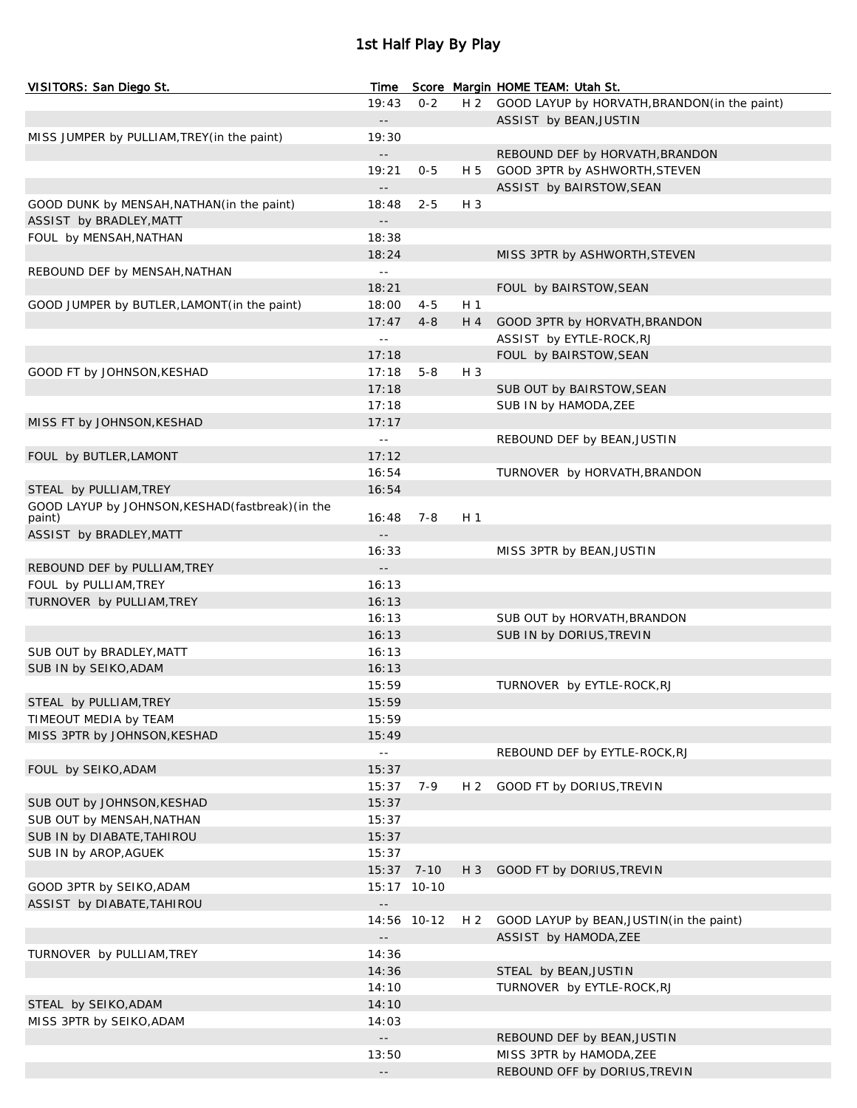## 1st Half Play By Play

| VISITORS: San Diego St.                           | Time                       |             |                | Score Margin HOME TEAM: Utah St.                   |
|---------------------------------------------------|----------------------------|-------------|----------------|----------------------------------------------------|
|                                                   | 19:43                      | $0 - 2$     | H 2            | GOOD LAYUP by HORVATH, BRANDON (in the paint)      |
|                                                   | $\sim$ $-$                 |             |                | ASSIST by BEAN, JUSTIN                             |
| MISS JUMPER by PULLIAM, TREY (in the paint)       | 19:30                      |             |                |                                                    |
|                                                   | $- -$                      |             |                | REBOUND DEF by HORVATH, BRANDON                    |
|                                                   | 19:21                      | $0 - 5$     | H 5            | GOOD 3PTR by ASHWORTH, STEVEN                      |
|                                                   | $\sim$ $-$                 |             |                | ASSIST by BAIRSTOW, SEAN                           |
| GOOD DUNK by MENSAH, NATHAN (in the paint)        | 18:48                      | $2 - 5$     | H 3            |                                                    |
| ASSIST by BRADLEY, MATT                           | $\overline{\phantom{a}}$ . |             |                |                                                    |
| FOUL by MENSAH, NATHAN                            | 18:38                      |             |                |                                                    |
|                                                   | 18:24                      |             |                | MISS 3PTR by ASHWORTH, STEVEN                      |
| REBOUND DEF by MENSAH, NATHAN                     | $\omega$ $\omega$          |             |                |                                                    |
|                                                   | 18:21                      |             |                | FOUL by BAIRSTOW, SEAN                             |
| GOOD JUMPER by BUTLER, LAMONT (in the paint)      | 18:00                      | $4 - 5$     | H <sub>1</sub> |                                                    |
|                                                   | 17:47<br>$\omega$ $\omega$ | $4 - 8$     | H 4            | GOOD 3PTR by HORVATH, BRANDON                      |
|                                                   | 17:18                      |             |                | ASSIST by EYTLE-ROCK, RJ<br>FOUL by BAIRSTOW, SEAN |
| GOOD FT by JOHNSON, KESHAD                        | 17:18                      | $5 - 8$     | H 3            |                                                    |
|                                                   | 17:18                      |             |                | SUB OUT by BAIRSTOW, SEAN                          |
|                                                   | 17:18                      |             |                | SUB IN by HAMODA, ZEE                              |
| MISS FT by JOHNSON, KESHAD                        | 17:17                      |             |                |                                                    |
|                                                   | $\perp$ $\perp$            |             |                | REBOUND DEF by BEAN, JUSTIN                        |
| FOUL by BUTLER, LAMONT                            | 17:12                      |             |                |                                                    |
|                                                   | 16:54                      |             |                | TURNOVER by HORVATH, BRANDON                       |
| STEAL by PULLIAM, TREY                            | 16:54                      |             |                |                                                    |
| GOOD LAYUP by JOHNSON, KESHAD (fastbreak) (in the |                            |             |                |                                                    |
| paint)                                            | 16:48                      | $7 - 8$     | H <sub>1</sub> |                                                    |
| ASSIST by BRADLEY, MATT                           | $-$                        |             |                |                                                    |
|                                                   | 16:33                      |             |                | MISS 3PTR by BEAN, JUSTIN                          |
| REBOUND DEF by PULLIAM, TREY                      | $- -$                      |             |                |                                                    |
| FOUL by PULLIAM, TREY                             | 16:13                      |             |                |                                                    |
| TURNOVER by PULLIAM, TREY                         | 16:13                      |             |                |                                                    |
|                                                   | 16:13                      |             |                | SUB OUT by HORVATH, BRANDON                        |
|                                                   | 16:13                      |             |                | SUB IN by DORIUS, TREVIN                           |
| SUB OUT by BRADLEY, MATT                          | 16:13                      |             |                |                                                    |
| SUB IN by SEIKO, ADAM                             | 16:13<br>15:59             |             |                | TURNOVER by EYTLE-ROCK, RJ                         |
|                                                   | 15:59                      |             |                |                                                    |
| STEAL by PULLIAM, TREY<br>TIMEOUT MEDIA by TEAM   | 15:59                      |             |                |                                                    |
| MISS 3PTR by JOHNSON, KESHAD                      | 15:49                      |             |                |                                                    |
|                                                   | $\sim$ $-$                 |             |                | REBOUND DEF by EYTLE-ROCK, RJ                      |
| FOUL by SEIKO, ADAM                               | 15:37                      |             |                |                                                    |
|                                                   | 15:37                      | 7-9         | H <sub>2</sub> | GOOD FT by DORIUS, TREVIN                          |
| SUB OUT by JOHNSON, KESHAD                        | 15:37                      |             |                |                                                    |
| SUB OUT by MENSAH, NATHAN                         | 15:37                      |             |                |                                                    |
| SUB IN by DIABATE, TAHIROU                        | 15:37                      |             |                |                                                    |
| SUB IN by AROP, AGUEK                             | 15:37                      |             |                |                                                    |
|                                                   | 15:37 7-10                 |             | $H_3$          | GOOD FT by DORIUS, TREVIN                          |
| GOOD 3PTR by SEIKO, ADAM                          |                            | 15:17 10-10 |                |                                                    |
| ASSIST by DIABATE, TAHIROU                        | $\overline{\phantom{a}}$ . |             |                |                                                    |
|                                                   |                            | 14:56 10-12 | H <sub>2</sub> | GOOD LAYUP by BEAN, JUSTIN(in the paint)           |
|                                                   | $-$                        |             |                | ASSIST by HAMODA, ZEE                              |
| TURNOVER by PULLIAM, TREY                         | 14:36                      |             |                |                                                    |
|                                                   | 14:36                      |             |                | STEAL by BEAN, JUSTIN                              |
|                                                   | 14:10                      |             |                | TURNOVER by EYTLE-ROCK, RJ                         |
| STEAL by SEIKO, ADAM                              | 14:10                      |             |                |                                                    |
| MISS 3PTR by SEIKO, ADAM                          | 14:03                      |             |                |                                                    |
|                                                   | $-$                        |             |                | REBOUND DEF by BEAN, JUSTIN                        |
|                                                   | 13:50                      |             |                | MISS 3PTR by HAMODA, ZEE                           |
|                                                   | $\overline{\phantom{a}}$   |             |                | REBOUND OFF by DORIUS, TREVIN                      |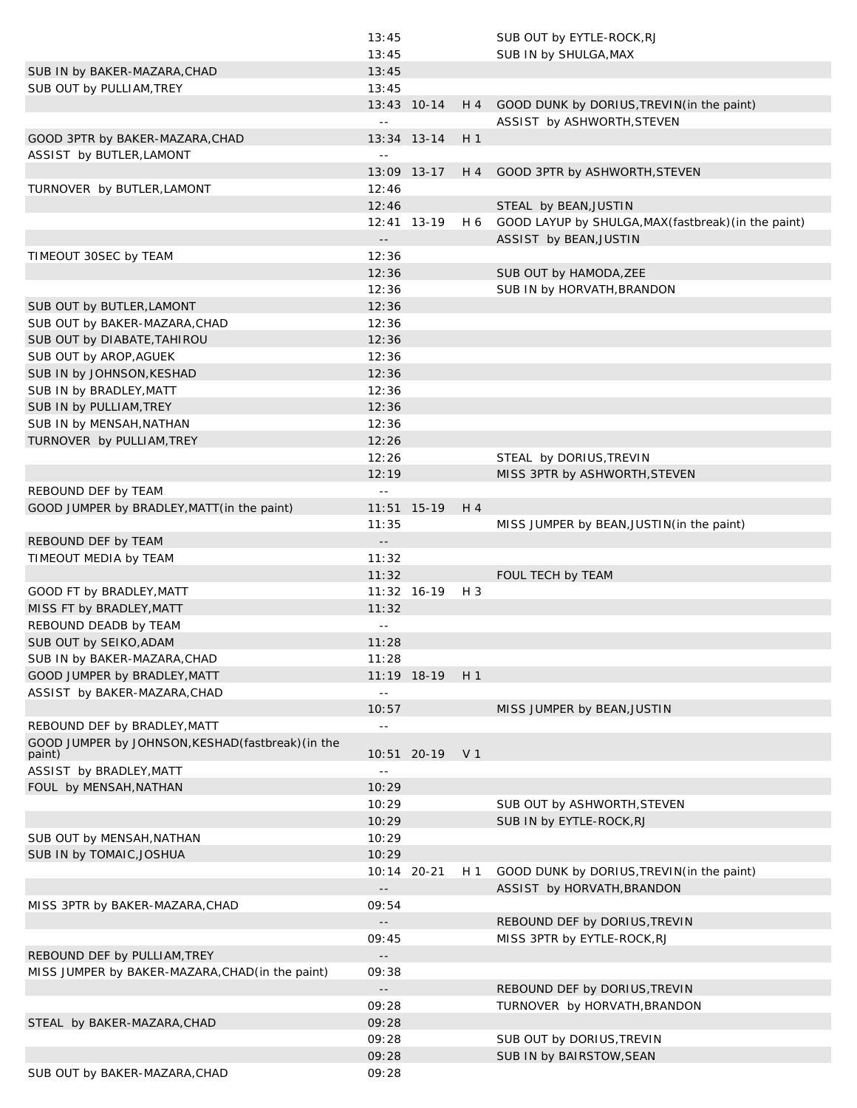|                                                   | 13:45                      |                 |       | SUB OUT by EYTLE-ROCK, RJ                                               |
|---------------------------------------------------|----------------------------|-----------------|-------|-------------------------------------------------------------------------|
|                                                   | 13:45                      |                 |       | SUB IN by SHULGA, MAX                                                   |
| SUB IN by BAKER-MAZARA, CHAD                      | 13:45                      |                 |       |                                                                         |
| SUB OUT by PULLIAM, TREY                          | 13:45                      |                 |       |                                                                         |
|                                                   |                            |                 |       |                                                                         |
|                                                   | $\sim$ $\sim$              | 13:43 10-14     | $H_4$ | GOOD DUNK by DORIUS, TREVIN(in the paint)<br>ASSIST by ASHWORTH, STEVEN |
| GOOD 3PTR by BAKER-MAZARA, CHAD                   |                            | 13:34 13-14     | $H_1$ |                                                                         |
|                                                   |                            |                 |       |                                                                         |
| ASSIST by BUTLER, LAMONT                          | $\equiv$ $\equiv$          |                 |       |                                                                         |
|                                                   |                            | 13:09 13-17     | H 4   | GOOD 3PTR by ASHWORTH, STEVEN                                           |
| TURNOVER by BUTLER, LAMONT                        | 12:46                      |                 |       |                                                                         |
|                                                   | 12:46                      |                 |       | STEAL by BEAN, JUSTIN                                                   |
|                                                   |                            | 12:41 13-19     | H 6   | GOOD LAYUP by SHULGA, MAX (fastbreak) (in the paint)                    |
|                                                   | $\overline{\phantom{a}}$ . |                 |       | ASSIST by BEAN, JUSTIN                                                  |
| TIMEOUT 30SEC by TEAM                             | 12:36                      |                 |       |                                                                         |
|                                                   | 12:36                      |                 |       | SUB OUT by HAMODA, ZEE                                                  |
|                                                   | 12:36                      |                 |       | SUB IN by HORVATH, BRANDON                                              |
|                                                   |                            |                 |       |                                                                         |
| SUB OUT by BUTLER, LAMONT                         | 12:36                      |                 |       |                                                                         |
| SUB OUT by BAKER-MAZARA, CHAD                     | 12:36                      |                 |       |                                                                         |
| SUB OUT by DIABATE, TAHIROU                       | 12:36                      |                 |       |                                                                         |
| SUB OUT by AROP, AGUEK                            | 12:36                      |                 |       |                                                                         |
| SUB IN by JOHNSON, KESHAD                         | 12:36                      |                 |       |                                                                         |
| SUB IN by BRADLEY, MATT                           | 12:36                      |                 |       |                                                                         |
| SUB IN by PULLIAM, TREY                           | 12:36                      |                 |       |                                                                         |
|                                                   |                            |                 |       |                                                                         |
| SUB IN by MENSAH, NATHAN                          | 12:36                      |                 |       |                                                                         |
| TURNOVER by PULLIAM, TREY                         | 12:26                      |                 |       |                                                                         |
|                                                   | 12:26                      |                 |       | STEAL by DORIUS, TREVIN                                                 |
|                                                   | 12:19                      |                 |       | MISS 3PTR by ASHWORTH, STEVEN                                           |
| REBOUND DEF by TEAM                               | $\sim$ $-$                 |                 |       |                                                                         |
| GOOD JUMPER by BRADLEY, MATT (in the paint)       |                            | $11:51$ $15-19$ | $H_4$ |                                                                         |
|                                                   | 11:35                      |                 |       | MISS JUMPER by BEAN, JUSTIN (in the paint)                              |
| REBOUND DEF by TEAM                               | $\overline{\phantom{a}}$   |                 |       |                                                                         |
|                                                   | 11:32                      |                 |       |                                                                         |
| TIMEOUT MEDIA by TEAM                             |                            |                 |       |                                                                         |
|                                                   | 11:32                      |                 |       | FOUL TECH by TEAM                                                       |
| GOOD FT by BRADLEY, MATT                          |                            | $11:32$ 16-19   | H 3   |                                                                         |
| MISS FT by BRADLEY, MATT                          | 11:32                      |                 |       |                                                                         |
| REBOUND DEADB by TEAM                             | $\sim$ $-$                 |                 |       |                                                                         |
| SUB OUT by SEIKO, ADAM                            | 11:28                      |                 |       |                                                                         |
| SUB IN by BAKER-MAZARA, CHAD                      | 11:28                      |                 |       |                                                                         |
| GOOD JUMPER by BRADLEY, MATT                      |                            | 11:19 18-19     | H 1   |                                                                         |
| ASSIST by BAKER-MAZARA, CHAD                      | $\sim$ $-$                 |                 |       |                                                                         |
|                                                   |                            |                 |       |                                                                         |
|                                                   | 10:57                      |                 |       | MISS JUMPER by BEAN, JUSTIN                                             |
| REBOUND DEF by BRADLEY, MATT                      | $\sim$ $\sim$              |                 |       |                                                                         |
| GOOD JUMPER by JOHNSON, KESHAD(fastbreak) (in the |                            |                 |       |                                                                         |
| paint)                                            |                            | 10:51 20-19 V1  |       |                                                                         |
| ASSIST by BRADLEY, MATT                           | $\sim$ $-$                 |                 |       |                                                                         |
| FOUL by MENSAH, NATHAN                            | 10:29                      |                 |       |                                                                         |
|                                                   | 10:29                      |                 |       | SUB OUT by ASHWORTH, STEVEN                                             |
|                                                   | 10:29                      |                 |       | SUB IN by EYTLE-ROCK, RJ                                                |
| SUB OUT by MENSAH, NATHAN                         | 10:29                      |                 |       |                                                                         |
| SUB IN by TOMAIC, JOSHUA                          | 10:29                      |                 |       |                                                                         |
|                                                   |                            | 10:14 20-21     | H 1   | GOOD DUNK by DORIUS, TREVIN(in the paint)                               |
|                                                   | $\overline{\phantom{a}}$ . |                 |       |                                                                         |
|                                                   |                            |                 |       | ASSIST by HORVATH, BRANDON                                              |
| MISS 3PTR by BAKER-MAZARA, CHAD                   | 09:54                      |                 |       |                                                                         |
|                                                   | $\sim$ $-$                 |                 |       | REBOUND DEF by DORIUS, TREVIN                                           |
|                                                   | 09:45                      |                 |       | MISS 3PTR by EYTLE-ROCK, RJ                                             |
| REBOUND DEF by PULLIAM, TREY                      | $\sim$ $\sim$              |                 |       |                                                                         |
| MISS JUMPER by BAKER-MAZARA, CHAD (in the paint)  | 09:38                      |                 |       |                                                                         |
|                                                   | $\sim$ $-$                 |                 |       | REBOUND DEF by DORIUS, TREVIN                                           |
|                                                   | 09:28                      |                 |       | TURNOVER by HORVATH, BRANDON                                            |
|                                                   |                            |                 |       |                                                                         |
| STEAL by BAKER-MAZARA, CHAD                       | 09:28                      |                 |       |                                                                         |
|                                                   | 09:28                      |                 |       | SUB OUT by DORIUS, TREVIN                                               |
|                                                   | 09:28                      |                 |       | SUB IN by BAIRSTOW, SEAN                                                |
| SUB OUT by BAKER-MAZARA, CHAD                     | 09:28                      |                 |       |                                                                         |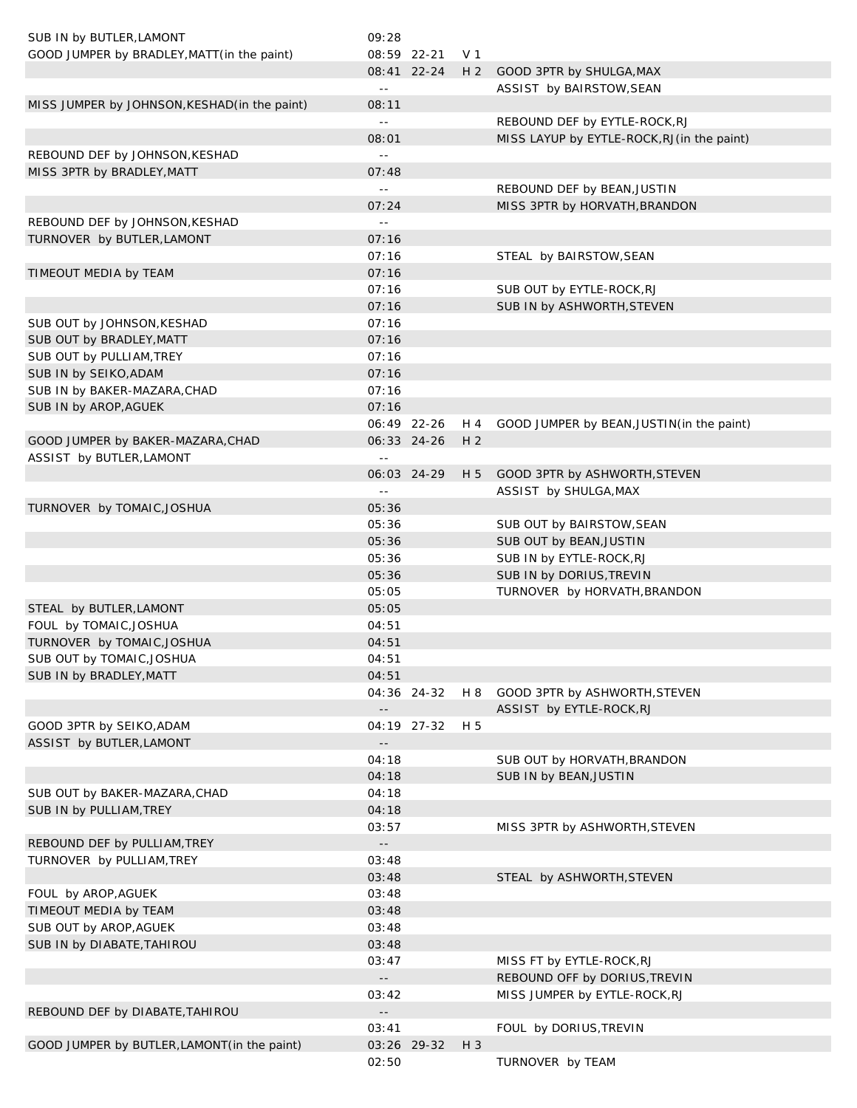| SUB IN by BUTLER, LAMONT                      | 09:28                                         |             |                |                                             |
|-----------------------------------------------|-----------------------------------------------|-------------|----------------|---------------------------------------------|
| GOOD JUMPER by BRADLEY, MATT (in the paint)   | 08:59 22-21                                   |             | V 1            |                                             |
|                                               |                                               | 08:41 22-24 | H <sub>2</sub> | GOOD 3PTR by SHULGA, MAX                    |
|                                               | $\sim$ $-$                                    |             |                | ASSIST by BAIRSTOW, SEAN                    |
| MISS JUMPER by JOHNSON, KESHAD (in the paint) | 08:11                                         |             |                |                                             |
|                                               | $\sim$ $-$                                    |             |                | REBOUND DEF by EYTLE-ROCK, RJ               |
|                                               | 08:01                                         |             |                | MISS LAYUP by EYTLE-ROCK, RJ (in the paint) |
| REBOUND DEF by JOHNSON, KESHAD                | $\sim$ $\sim$                                 |             |                |                                             |
| MISS 3PTR by BRADLEY, MATT                    | 07:48                                         |             |                |                                             |
|                                               | $\sim$ $-$                                    |             |                | REBOUND DEF by BEAN, JUSTIN                 |
|                                               | 07:24                                         |             |                | MISS 3PTR by HORVATH, BRANDON               |
| REBOUND DEF by JOHNSON, KESHAD                | $\sim$ $-$                                    |             |                |                                             |
| TURNOVER by BUTLER, LAMONT                    | 07:16                                         |             |                |                                             |
|                                               | 07:16                                         |             |                | STEAL by BAIRSTOW, SEAN                     |
| TIMEOUT MEDIA by TEAM                         | 07:16                                         |             |                |                                             |
|                                               | 07:16                                         |             |                | SUB OUT by EYTLE-ROCK, RJ                   |
|                                               | 07:16                                         |             |                | SUB IN by ASHWORTH, STEVEN                  |
| SUB OUT by JOHNSON, KESHAD                    | 07:16                                         |             |                |                                             |
| SUB OUT by BRADLEY, MATT                      | 07:16                                         |             |                |                                             |
| SUB OUT by PULLIAM, TREY                      | 07:16                                         |             |                |                                             |
| SUB IN by SEIKO, ADAM                         | 07:16                                         |             |                |                                             |
| SUB IN by BAKER-MAZARA, CHAD                  | 07:16                                         |             |                |                                             |
| SUB IN by AROP, AGUEK                         | 07:16                                         |             |                |                                             |
|                                               | 06:49 22-26                                   |             | H 4            | GOOD JUMPER by BEAN, JUSTIN (in the paint)  |
| GOOD JUMPER by BAKER-MAZARA, CHAD             | 06:33 24-26                                   |             | H <sub>2</sub> |                                             |
| ASSIST by BUTLER, LAMONT                      | $\sim$ $-$                                    |             |                |                                             |
|                                               | 06:03 24-29                                   |             |                | H 5 GOOD 3PTR by ASHWORTH, STEVEN           |
|                                               | $\sim$ $-$                                    |             |                | ASSIST by SHULGA, MAX                       |
| TURNOVER by TOMAIC, JOSHUA                    | 05:36                                         |             |                |                                             |
|                                               | 05:36                                         |             |                | SUB OUT by BAIRSTOW, SEAN                   |
|                                               | 05:36                                         |             |                | SUB OUT by BEAN, JUSTIN                     |
|                                               | 05:36                                         |             |                | SUB IN by EYTLE-ROCK, RJ                    |
|                                               | 05:36                                         |             |                | SUB IN by DORIUS, TREVIN                    |
|                                               | 05:05                                         |             |                | TURNOVER by HORVATH, BRANDON                |
| STEAL by BUTLER, LAMONT                       | 05:05                                         |             |                |                                             |
| FOUL by TOMAIC, JOSHUA                        | 04:51                                         |             |                |                                             |
| TURNOVER by TOMAIC, JOSHUA                    | 04:51                                         |             |                |                                             |
| SUB OUT by TOMAIC, JOSHUA                     | 04:51                                         |             |                |                                             |
| SUB IN by BRADLEY, MATT                       | 04:51                                         |             |                |                                             |
|                                               |                                               | 04:36 24-32 | H 8            | GOOD 3PTR by ASHWORTH, STEVEN               |
|                                               | $\overline{\phantom{a}}$ .                    |             |                | ASSIST by EYTLE-ROCK, RJ                    |
| GOOD 3PTR by SEIKO, ADAM                      |                                               | 04:19 27-32 | H 5            |                                             |
| ASSIST by BUTLER, LAMONT                      |                                               |             |                |                                             |
|                                               | 04:18                                         |             |                | SUB OUT by HORVATH, BRANDON                 |
|                                               | 04:18                                         |             |                | SUB IN by BEAN, JUSTIN                      |
| SUB OUT by BAKER-MAZARA, CHAD                 | 04:18                                         |             |                |                                             |
| SUB IN by PULLIAM, TREY                       | 04:18                                         |             |                |                                             |
|                                               | 03:57                                         |             |                | MISS 3PTR by ASHWORTH, STEVEN               |
| REBOUND DEF by PULLIAM, TREY                  | $\mathord{\hspace{1pt}\text{--}\hspace{1pt}}$ |             |                |                                             |
| TURNOVER by PULLIAM, TREY                     | 03:48                                         |             |                |                                             |
|                                               | 03:48                                         |             |                |                                             |
|                                               |                                               |             |                | STEAL by ASHWORTH, STEVEN                   |
| FOUL by AROP, AGUEK                           | 03:48                                         |             |                |                                             |
| TIMEOUT MEDIA by TEAM                         | 03:48                                         |             |                |                                             |
| SUB OUT by AROP, AGUEK                        | 03:48                                         |             |                |                                             |
| SUB IN by DIABATE, TAHIROU                    | 03:48                                         |             |                |                                             |
|                                               | 03:47                                         |             |                | MISS FT by EYTLE-ROCK, RJ                   |
|                                               | $\sim$ $-$                                    |             |                | REBOUND OFF by DORIUS, TREVIN               |
|                                               | 03:42                                         |             |                | MISS JUMPER by EYTLE-ROCK, RJ               |
| REBOUND DEF by DIABATE, TAHIROU               | $\sim$ $-$                                    |             |                |                                             |
|                                               | 03:41                                         |             |                | FOUL by DORIUS, TREVIN                      |
| GOOD JUMPER by BUTLER, LAMONT (in the paint)  | 03:26 29-32                                   |             | $H_3$          |                                             |
|                                               | 02:50                                         |             |                | TURNOVER by TEAM                            |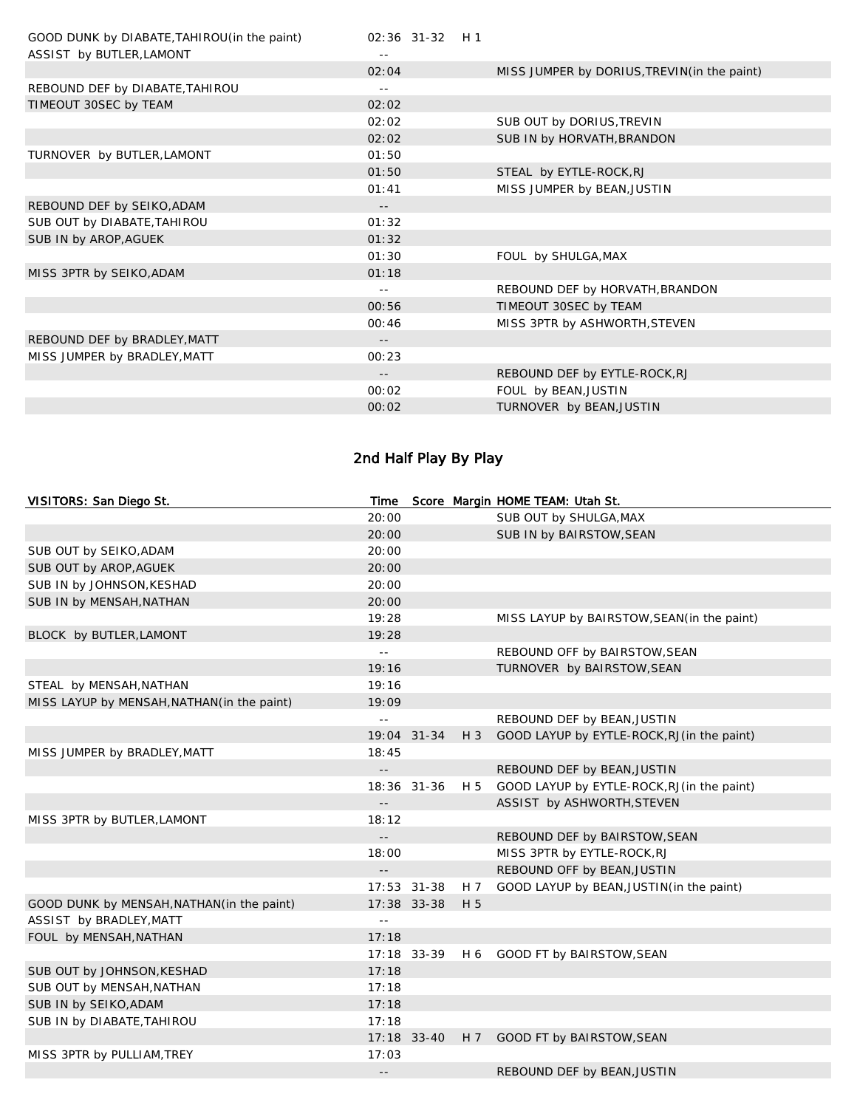| GOOD DUNK by DIABATE, TAHIROU (in the paint)<br>ASSIST by BUTLER, LAMONT | 02:36 31-32 H 1   |                                             |
|--------------------------------------------------------------------------|-------------------|---------------------------------------------|
|                                                                          | 02:04             | MISS JUMPER by DORIUS, TREVIN(in the paint) |
| REBOUND DEF by DIABATE, TAHIROU                                          | $\equiv$ $\equiv$ |                                             |
| TIMEOUT 30SEC by TEAM                                                    | 02:02             |                                             |
|                                                                          | 02:02             | SUB OUT by DORIUS, TREVIN                   |
|                                                                          | 02:02             | SUB IN by HORVATH, BRANDON                  |
| TURNOVER by BUTLER, LAMONT                                               | 01:50             |                                             |
|                                                                          | 01:50             | STEAL by EYTLE-ROCK, RJ                     |
|                                                                          | 01:41             | MISS JUMPER by BEAN, JUSTIN                 |
| REBOUND DEF by SEIKO, ADAM                                               | $\qquad \qquad -$ |                                             |
| SUB OUT by DIABATE, TAHIROU                                              | 01:32             |                                             |
| SUB IN by AROP, AGUEK                                                    | 01:32             |                                             |
|                                                                          | 01:30             | FOUL by SHULGA, MAX                         |
| MISS 3PTR by SEIKO, ADAM                                                 | 01:18             |                                             |
|                                                                          |                   | REBOUND DEF by HORVATH, BRANDON             |
|                                                                          | 00:56             | TIMEOUT 30SEC by TEAM                       |
|                                                                          | 00:46             | MISS 3PTR by ASHWORTH, STEVEN               |
| REBOUND DEF by BRADLEY, MATT                                             | --                |                                             |
| MISS JUMPER by BRADLEY, MATT                                             | 00:23             |                                             |
|                                                                          | $- -$             | REBOUND DEF by EYTLE-ROCK, RJ               |
|                                                                          | 00:02             | FOUL by BEAN, JUSTIN                        |
|                                                                          | 00:02             | TURNOVER by BEAN, JUSTIN                    |
|                                                                          |                   |                                             |

# 2nd Half Play By Play

| VISITORS: San Diego St.                     | Time                       |             |                | Score Margin HOME TEAM: Utah St.            |
|---------------------------------------------|----------------------------|-------------|----------------|---------------------------------------------|
|                                             | 20:00                      |             |                | SUB OUT by SHULGA, MAX                      |
|                                             | 20:00                      |             |                | SUB IN by BAIRSTOW, SEAN                    |
| SUB OUT by SEIKO, ADAM                      | 20:00                      |             |                |                                             |
| SUB OUT by AROP, AGUEK                      | 20:00                      |             |                |                                             |
| SUB IN by JOHNSON, KESHAD                   | 20:00                      |             |                |                                             |
| SUB IN by MENSAH, NATHAN                    | 20:00                      |             |                |                                             |
|                                             | 19:28                      |             |                | MISS LAYUP by BAIRSTOW, SEAN(in the paint)  |
| BLOCK by BUTLER, LAMONT                     | 19:28                      |             |                |                                             |
|                                             | $\mathbb{L} \mathbb{L}$    |             |                | REBOUND OFF by BAIRSTOW, SEAN               |
|                                             | 19:16                      |             |                | TURNOVER by BAIRSTOW, SEAN                  |
| STEAL by MENSAH, NATHAN                     | 19:16                      |             |                |                                             |
| MISS LAYUP by MENSAH, NATHAN (in the paint) | 19:09                      |             |                |                                             |
|                                             | $\sim$ $-$                 |             |                | REBOUND DEF by BEAN, JUSTIN                 |
|                                             |                            | 19:04 31-34 | $H_3$          | GOOD LAYUP by EYTLE-ROCK, RJ (in the paint) |
| MISS JUMPER by BRADLEY, MATT                | 18:45                      |             |                |                                             |
|                                             | $\overline{\phantom{a}}$ . |             |                | REBOUND DEF by BEAN, JUSTIN                 |
|                                             |                            | 18:36 31-36 | H 5            | GOOD LAYUP by EYTLE-ROCK, RJ (in the paint) |
|                                             | $\perp$ $\perp$            |             |                | ASSIST by ASHWORTH, STEVEN                  |
| MISS 3PTR by BUTLER, LAMONT                 | 18:12                      |             |                |                                             |
|                                             | $ -$                       |             |                | REBOUND DEF by BAIRSTOW, SEAN               |
|                                             | 18:00                      |             |                | MISS 3PTR by EYTLE-ROCK, RJ                 |
|                                             | $\Box$                     |             |                | REBOUND OFF by BEAN, JUSTIN                 |
|                                             |                            | 17:53 31-38 | H 7            | GOOD LAYUP by BEAN, JUSTIN (in the paint)   |
| GOOD DUNK by MENSAH, NATHAN (in the paint)  |                            | 17:38 33-38 | H 5            |                                             |
| ASSIST by BRADLEY, MATT                     | $\sim$ $\sim$              |             |                |                                             |
| FOUL by MENSAH, NATHAN                      | 17:18                      |             |                |                                             |
|                                             |                            | 17:18 33-39 | H 6            | GOOD FT by BAIRSTOW, SEAN                   |
| SUB OUT by JOHNSON, KESHAD                  | 17:18                      |             |                |                                             |
| SUB OUT by MENSAH, NATHAN                   | 17:18                      |             |                |                                             |
| SUB IN by SEIKO, ADAM                       | 17:18                      |             |                |                                             |
| SUB IN by DIABATE, TAHIROU                  | 17:18                      |             |                |                                             |
|                                             |                            | 17:18 33-40 | H <sub>7</sub> | GOOD FT by BAIRSTOW, SEAN                   |
| MISS 3PTR by PULLIAM, TREY                  | 17:03                      |             |                |                                             |
|                                             | $\overline{\phantom{a}}$ . |             |                | REBOUND DEF by BEAN, JUSTIN                 |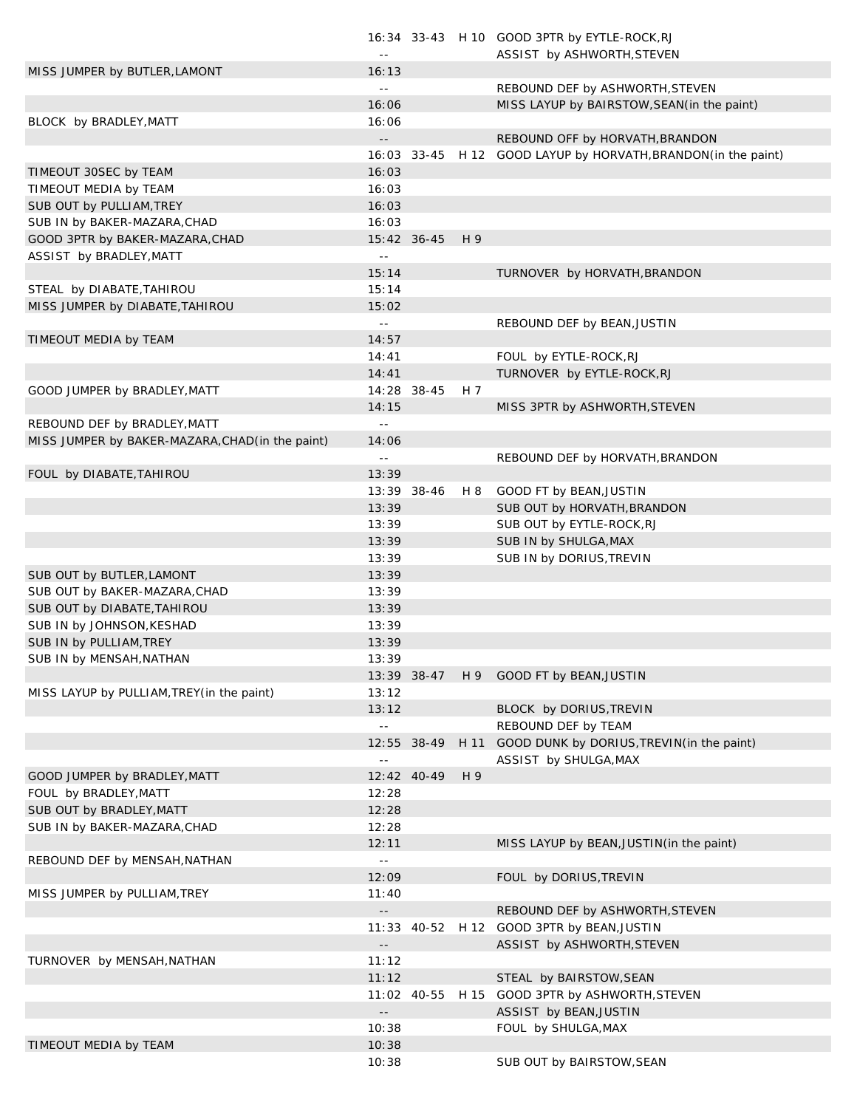|                                                  | $\perp$ $\perp$           |             |     | 16:34 33-43 H 10 GOOD 3PTR by EYTLE-ROCK, RJ<br>ASSIST by ASHWORTH, STEVEN |
|--------------------------------------------------|---------------------------|-------------|-----|----------------------------------------------------------------------------|
| MISS JUMPER by BUTLER, LAMONT                    | 16:13                     |             |     |                                                                            |
|                                                  | $\sim$ $-$                |             |     | REBOUND DEF by ASHWORTH, STEVEN                                            |
|                                                  | 16:06                     |             |     | MISS LAYUP by BAIRSTOW, SEAN(in the paint)                                 |
| BLOCK by BRADLEY, MATT                           | 16:06                     |             |     |                                                                            |
|                                                  | $\sim$ $-$                |             |     | REBOUND OFF by HORVATH, BRANDON                                            |
|                                                  |                           |             |     | 16:03 33-45 H 12 GOOD LAYUP by HORVATH, BRANDON (in the paint)             |
| TIMEOUT 30SEC by TEAM                            | 16:03                     |             |     |                                                                            |
| TIMEOUT MEDIA by TEAM                            | 16:03                     |             |     |                                                                            |
| SUB OUT by PULLIAM, TREY                         | 16:03                     |             |     |                                                                            |
| SUB IN by BAKER-MAZARA, CHAD                     | 16:03                     |             |     |                                                                            |
| GOOD 3PTR by BAKER-MAZARA, CHAD                  |                           | 15:42 36-45 | H 9 |                                                                            |
| ASSIST by BRADLEY, MATT                          | $\perp$ $\perp$           |             |     |                                                                            |
|                                                  | 15:14                     |             |     | TURNOVER by HORVATH, BRANDON                                               |
| STEAL by DIABATE, TAHIROU                        | 15:14                     |             |     |                                                                            |
| MISS JUMPER by DIABATE, TAHIROU                  | 15:02                     |             |     |                                                                            |
|                                                  | $\sim$ $-$                |             |     | REBOUND DEF by BEAN, JUSTIN                                                |
| TIMEOUT MEDIA by TEAM                            | 14:57                     |             |     |                                                                            |
|                                                  | 14:41                     |             |     | FOUL by EYTLE-ROCK, RJ                                                     |
|                                                  | 14:41                     |             |     | TURNOVER by EYTLE-ROCK, RJ                                                 |
| GOOD JUMPER by BRADLEY, MATT                     |                           | 14:28 38-45 | H 7 |                                                                            |
|                                                  | 14:15                     |             |     | MISS 3PTR by ASHWORTH, STEVEN                                              |
| REBOUND DEF by BRADLEY, MATT                     | $\sim$ $\sim$             |             |     |                                                                            |
| MISS JUMPER by BAKER-MAZARA, CHAD (in the paint) | 14:06                     |             |     |                                                                            |
|                                                  | $\sim$ $-$                |             |     | REBOUND DEF by HORVATH, BRANDON                                            |
| FOUL by DIABATE, TAHIROU                         | 13:39                     |             |     |                                                                            |
|                                                  |                           | 13:39 38-46 | H 8 | GOOD FT by BEAN, JUSTIN                                                    |
|                                                  | 13:39                     |             |     | SUB OUT by HORVATH, BRANDON                                                |
|                                                  | 13:39                     |             |     | SUB OUT by EYTLE-ROCK, RJ                                                  |
|                                                  | 13:39                     |             |     | SUB IN by SHULGA, MAX                                                      |
|                                                  | 13:39                     |             |     | SUB IN by DORIUS, TREVIN                                                   |
| SUB OUT by BUTLER, LAMONT                        | 13:39                     |             |     |                                                                            |
| SUB OUT by BAKER-MAZARA, CHAD                    | 13:39                     |             |     |                                                                            |
| SUB OUT by DIABATE, TAHIROU                      | 13:39                     |             |     |                                                                            |
| SUB IN by JOHNSON, KESHAD                        | 13:39                     |             |     |                                                                            |
| SUB IN by PULLIAM, TREY                          | 13:39                     |             |     |                                                                            |
| SUB IN by MENSAH, NATHAN                         | 13:39                     |             |     |                                                                            |
|                                                  |                           | 13:39 38-47 |     | H 9 GOOD FT by BEAN, JUSTIN                                                |
| MISS LAYUP by PULLIAM, TREY (in the paint)       | 13:12                     |             |     |                                                                            |
|                                                  | 13:12                     |             |     | BLOCK by DORIUS, TREVIN                                                    |
|                                                  | $\mathbb{L}^{\mathbb{L}}$ |             |     | REBOUND DEF by TEAM                                                        |
|                                                  |                           | 12:55 38-49 |     | H 11 GOOD DUNK by DORIUS, TREVIN(in the paint)                             |
|                                                  | $\sim$ $\sim$             |             |     | ASSIST by SHULGA, MAX                                                      |
| GOOD JUMPER by BRADLEY, MATT                     |                           | 12:42 40-49 | H 9 |                                                                            |
| FOUL by BRADLEY, MATT                            | 12:28                     |             |     |                                                                            |
| SUB OUT by BRADLEY, MATT                         | 12:28                     |             |     |                                                                            |
| SUB IN by BAKER-MAZARA, CHAD                     | 12:28                     |             |     |                                                                            |
|                                                  | 12:11                     |             |     | MISS LAYUP by BEAN, JUSTIN (in the paint)                                  |
| REBOUND DEF by MENSAH, NATHAN                    | $\sim$ $\sim$             |             |     |                                                                            |
|                                                  | 12:09                     |             |     | FOUL by DORIUS, TREVIN                                                     |
| MISS JUMPER by PULLIAM, TREY                     | 11:40                     |             |     |                                                                            |
|                                                  | $\sim$ $-$                |             |     | REBOUND DEF by ASHWORTH, STEVEN                                            |
|                                                  |                           |             |     | 11:33 40-52 H 12 GOOD 3PTR by BEAN, JUSTIN                                 |
|                                                  | $\sim$ $-$                |             |     | ASSIST by ASHWORTH, STEVEN                                                 |
| TURNOVER by MENSAH, NATHAN                       | 11:12                     |             |     |                                                                            |
|                                                  | 11:12                     |             |     | STEAL by BAIRSTOW, SEAN                                                    |
|                                                  |                           | 11:02 40-55 |     | H 15 GOOD 3PTR by ASHWORTH, STEVEN                                         |
|                                                  | $\sim$ $\sim$             |             |     | ASSIST by BEAN, JUSTIN                                                     |
|                                                  | 10:38                     |             |     | FOUL by SHULGA, MAX                                                        |
| TIMEOUT MEDIA by TEAM                            | 10:38                     |             |     |                                                                            |
|                                                  | 10:38                     |             |     | SUB OUT by BAIRSTOW, SEAN                                                  |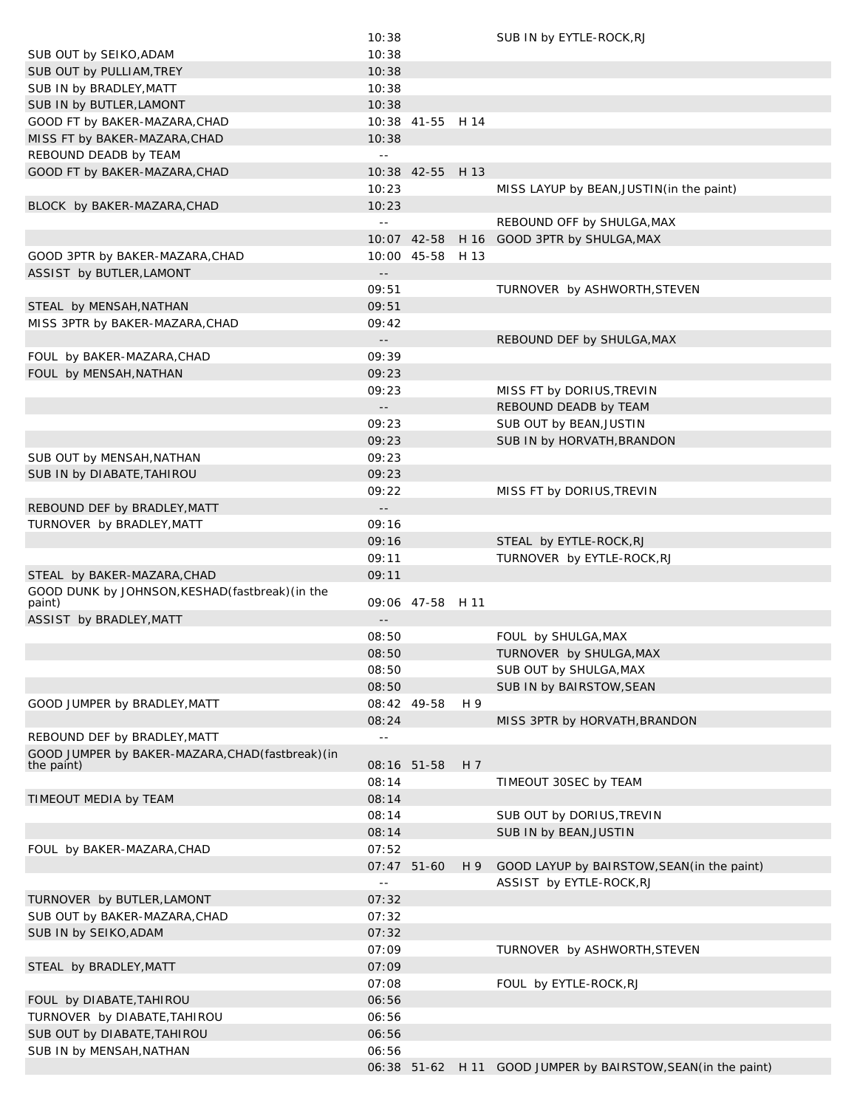|                                                   | 10:38                      |                  |      | SUB IN by EYTLE-ROCK, RJ                                      |
|---------------------------------------------------|----------------------------|------------------|------|---------------------------------------------------------------|
| SUB OUT by SEIKO, ADAM                            | 10:38                      |                  |      |                                                               |
| SUB OUT by PULLIAM, TREY                          | 10:38                      |                  |      |                                                               |
| SUB IN by BRADLEY, MATT                           | 10:38                      |                  |      |                                                               |
| SUB IN by BUTLER, LAMONT                          | 10:38                      |                  |      |                                                               |
| GOOD FT by BAKER-MAZARA, CHAD                     |                            | 10:38 41-55 H 14 |      |                                                               |
| MISS FT by BAKER-MAZARA, CHAD                     | 10:38                      |                  |      |                                                               |
| REBOUND DEADB by TEAM                             | $\perp$ $\perp$            |                  |      |                                                               |
| GOOD FT by BAKER-MAZARA, CHAD                     |                            | 10:38 42-55      | H 13 |                                                               |
|                                                   | 10:23                      |                  |      | MISS LAYUP by BEAN, JUSTIN (in the paint)                     |
| BLOCK by BAKER-MAZARA, CHAD                       | 10:23                      |                  |      |                                                               |
|                                                   | $\perp$ $\perp$            |                  |      | REBOUND OFF by SHULGA, MAX                                    |
|                                                   |                            | 10:07 42-58      | H 16 | GOOD 3PTR by SHULGA, MAX                                      |
| GOOD 3PTR by BAKER-MAZARA, CHAD                   |                            | 10:00 45-58 H 13 |      |                                                               |
| ASSIST by BUTLER, LAMONT                          | $\overline{\phantom{a}}$ . |                  |      |                                                               |
|                                                   | 09:51                      |                  |      | TURNOVER by ASHWORTH, STEVEN                                  |
| STEAL by MENSAH, NATHAN                           | 09:51                      |                  |      |                                                               |
| MISS 3PTR by BAKER-MAZARA, CHAD                   | 09:42                      |                  |      |                                                               |
|                                                   | $\sim$ $-$                 |                  |      | REBOUND DEF by SHULGA, MAX                                    |
| FOUL by BAKER-MAZARA, CHAD                        | 09:39                      |                  |      |                                                               |
| FOUL by MENSAH, NATHAN                            | 09:23                      |                  |      |                                                               |
|                                                   | 09:23                      |                  |      | MISS FT by DORIUS, TREVIN                                     |
|                                                   | $ -$                       |                  |      | REBOUND DEADB by TEAM                                         |
|                                                   | 09:23                      |                  |      | SUB OUT by BEAN, JUSTIN                                       |
|                                                   | 09:23                      |                  |      | SUB IN by HORVATH, BRANDON                                    |
| SUB OUT by MENSAH, NATHAN                         | 09:23                      |                  |      |                                                               |
| SUB IN by DIABATE, TAHIROU                        | 09:23                      |                  |      |                                                               |
|                                                   | 09:22                      |                  |      | MISS FT by DORIUS, TREVIN                                     |
| REBOUND DEF by BRADLEY, MATT                      | $\sim$ $-$                 |                  |      |                                                               |
| TURNOVER by BRADLEY, MATT                         | 09:16                      |                  |      |                                                               |
|                                                   | 09:16                      |                  |      | STEAL by EYTLE-ROCK, RJ                                       |
|                                                   | 09:11                      |                  |      | TURNOVER by EYTLE-ROCK, RJ                                    |
| STEAL by BAKER-MAZARA, CHAD                       | 09:11                      |                  |      |                                                               |
| GOOD DUNK by JOHNSON, KESHAD (fastbreak) (in the  |                            |                  |      |                                                               |
| paint)                                            |                            | 09:06 47-58 H 11 |      |                                                               |
| ASSIST by BRADLEY, MATT                           | $\overline{\phantom{a}}$ . |                  |      |                                                               |
|                                                   | 08:50                      |                  |      | FOUL by SHULGA, MAX                                           |
|                                                   | 08:50                      |                  |      | TURNOVER by SHULGA, MAX                                       |
|                                                   | 08:50                      |                  |      | SUB OUT by SHULGA, MAX                                        |
|                                                   | 08:50                      |                  |      | SUB IN by BAIRSTOW, SEAN                                      |
| GOOD JUMPER by BRADLEY, MATT                      |                            | 08:42 49-58      | H 9  |                                                               |
|                                                   | 08:24                      |                  |      | MISS 3PTR by HORVATH, BRANDON                                 |
| REBOUND DEF by BRADLEY, MATT                      | $\sim$ $-$                 |                  |      |                                                               |
| GOOD JUMPER by BAKER-MAZARA, CHAD (fastbreak) (in |                            |                  |      |                                                               |
| the paint)                                        |                            | 08:16 51-58      | H 7  |                                                               |
|                                                   | 08:14                      |                  |      | TIMEOUT 30SEC by TEAM                                         |
| TIMEOUT MEDIA by TEAM                             | 08:14                      |                  |      |                                                               |
|                                                   | 08:14                      |                  |      | SUB OUT by DORIUS, TREVIN                                     |
|                                                   | 08:14                      |                  |      | SUB IN by BEAN, JUSTIN                                        |
| FOUL by BAKER-MAZARA, CHAD                        | 07:52                      |                  |      |                                                               |
|                                                   |                            | 07:47 51-60      | H 9  | GOOD LAYUP by BAIRSTOW, SEAN (in the paint)                   |
|                                                   | $\sim$ $-$                 |                  |      | ASSIST by EYTLE-ROCK, RJ                                      |
| TURNOVER by BUTLER, LAMONT                        | 07:32                      |                  |      |                                                               |
| SUB OUT by BAKER-MAZARA, CHAD                     | 07:32                      |                  |      |                                                               |
| SUB IN by SEIKO, ADAM                             | 07:32                      |                  |      |                                                               |
|                                                   | 07:09                      |                  |      | TURNOVER by ASHWORTH, STEVEN                                  |
| STEAL by BRADLEY, MATT                            | 07:09                      |                  |      |                                                               |
|                                                   | 07:08                      |                  |      | FOUL by EYTLE-ROCK, RJ                                        |
| FOUL by DIABATE, TAHIROU                          | 06:56                      |                  |      |                                                               |
| TURNOVER by DIABATE, TAHIROU                      | 06:56                      |                  |      |                                                               |
| SUB OUT by DIABATE, TAHIROU                       | 06:56                      |                  |      |                                                               |
| SUB IN by MENSAH, NATHAN                          | 06:56                      |                  |      |                                                               |
|                                                   |                            |                  |      | 06:38 51-62 H 11 GOOD JUMPER by BAIRSTOW, SEAN (in the paint) |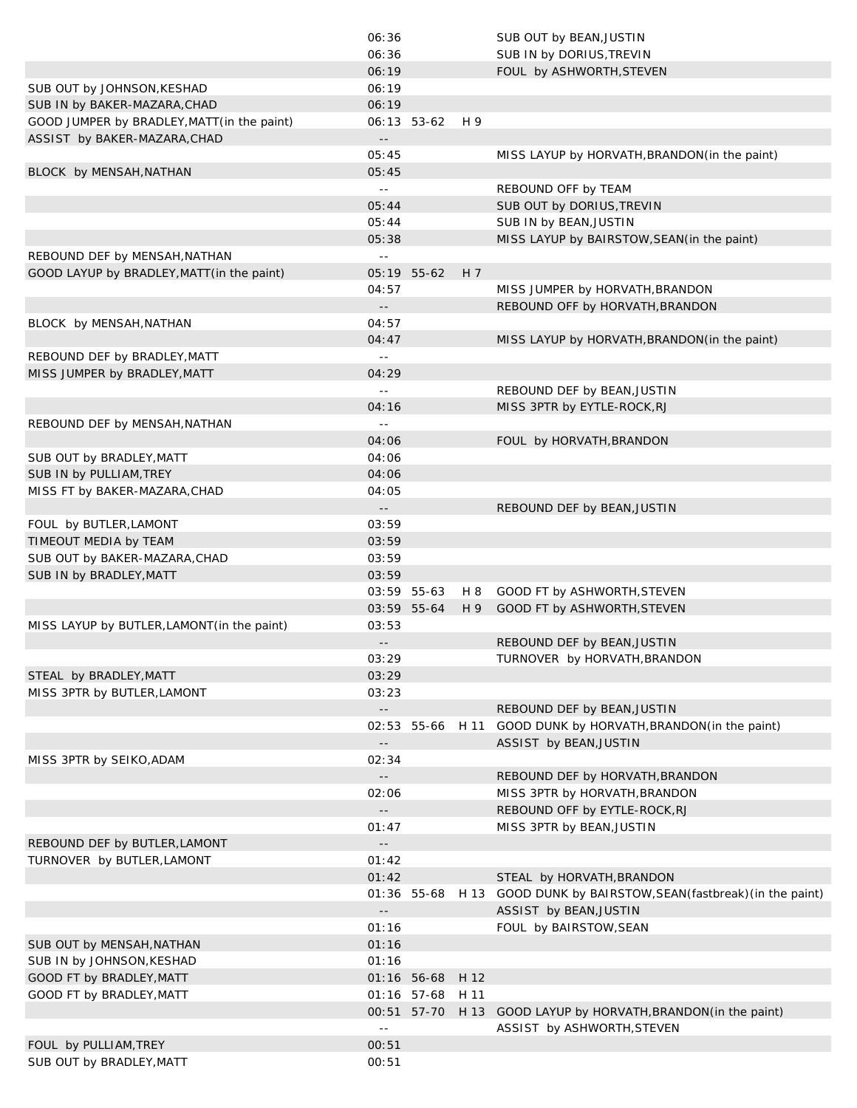|                                             | 06:36                                           |                  |      | SUB OUT by BEAN, JUSTIN                                     |
|---------------------------------------------|-------------------------------------------------|------------------|------|-------------------------------------------------------------|
|                                             | 06:36                                           |                  |      | SUB IN by DORIUS, TREVIN                                    |
|                                             | 06:19                                           |                  |      | FOUL by ASHWORTH, STEVEN                                    |
| SUB OUT by JOHNSON, KESHAD                  | 06:19                                           |                  |      |                                                             |
| SUB IN by BAKER-MAZARA, CHAD                | 06:19                                           |                  |      |                                                             |
| GOOD JUMPER by BRADLEY, MATT (in the paint) |                                                 | 06:13 53-62      | H 9  |                                                             |
| ASSIST by BAKER-MAZARA, CHAD                | $\overline{\phantom{a}}$ .                      |                  |      |                                                             |
|                                             | 05:45                                           |                  |      | MISS LAYUP by HORVATH, BRANDON (in the paint)               |
| BLOCK by MENSAH, NATHAN                     | 05:45                                           |                  |      |                                                             |
|                                             | $\sim$ $-$                                      |                  |      | REBOUND OFF by TEAM                                         |
|                                             | 05:44                                           |                  |      | SUB OUT by DORIUS, TREVIN                                   |
|                                             | 05:44                                           |                  |      | SUB IN by BEAN, JUSTIN                                      |
|                                             | 05:38                                           |                  |      | MISS LAYUP by BAIRSTOW, SEAN(in the paint)                  |
| REBOUND DEF by MENSAH, NATHAN               | $\sim$ $-$                                      |                  |      |                                                             |
| GOOD LAYUP by BRADLEY, MATT (in the paint)  |                                                 | 05:19 55-62      | H 7  |                                                             |
|                                             | 04:57                                           |                  |      | MISS JUMPER by HORVATH, BRANDON                             |
|                                             | $ -$                                            |                  |      | REBOUND OFF by HORVATH, BRANDON                             |
| BLOCK by MENSAH, NATHAN                     | 04:57                                           |                  |      |                                                             |
|                                             | 04:47                                           |                  |      | MISS LAYUP by HORVATH, BRANDON (in the paint)               |
| REBOUND DEF by BRADLEY, MATT                | $\perp$ $\perp$                                 |                  |      |                                                             |
| MISS JUMPER by BRADLEY, MATT                | 04:29                                           |                  |      |                                                             |
|                                             | $\perp$ $\perp$                                 |                  |      | REBOUND DEF by BEAN, JUSTIN                                 |
|                                             | 04:16                                           |                  |      | MISS 3PTR by EYTLE-ROCK, RJ                                 |
| REBOUND DEF by MENSAH, NATHAN               | $\perp$ $\perp$                                 |                  |      |                                                             |
|                                             | 04:06                                           |                  |      | FOUL by HORVATH, BRANDON                                    |
| SUB OUT by BRADLEY, MATT                    | 04:06                                           |                  |      |                                                             |
| SUB IN by PULLIAM, TREY                     | 04:06                                           |                  |      |                                                             |
|                                             | 04:05                                           |                  |      |                                                             |
| MISS FT by BAKER-MAZARA, CHAD               |                                                 |                  |      |                                                             |
|                                             | $ -$<br>03:59                                   |                  |      | REBOUND DEF by BEAN, JUSTIN                                 |
| FOUL by BUTLER, LAMONT                      |                                                 |                  |      |                                                             |
| TIMEOUT MEDIA by TEAM                       | 03:59                                           |                  |      |                                                             |
| SUB OUT by BAKER-MAZARA, CHAD               | 03:59                                           |                  |      |                                                             |
| SUB IN by BRADLEY, MATT                     | 03:59                                           |                  |      |                                                             |
|                                             |                                                 | 03:59 55-63      | H 8  | GOOD FT by ASHWORTH, STEVEN                                 |
|                                             |                                                 | 03:59 55-64      | H 9  | GOOD FT by ASHWORTH, STEVEN                                 |
| MISS LAYUP by BUTLER, LAMONT (in the paint) | 03:53                                           |                  |      |                                                             |
|                                             | $ -$                                            |                  |      | REBOUND DEF by BEAN, JUSTIN                                 |
|                                             | 03:29                                           |                  |      | TURNOVER by HORVATH, BRANDON                                |
| STEAL by BRADLEY, MATT                      | 03:29                                           |                  |      |                                                             |
| MISS 3PTR by BUTLER, LAMONT                 | 03:23                                           |                  |      |                                                             |
|                                             | $\mathord{\hspace{1pt}\text{--}\hspace{1pt}}$   |                  |      | REBOUND DEF by BEAN, JUSTIN                                 |
|                                             |                                                 | 02:53 55-66 H 11 |      | GOOD DUNK by HORVATH, BRANDON (in the paint)                |
|                                             | $ -$                                            |                  |      | ASSIST by BEAN, JUSTIN                                      |
| MISS 3PTR by SEIKO, ADAM                    | 02:34                                           |                  |      |                                                             |
|                                             | $\mathord{\hspace{1pt}\text{--}\hspace{1pt}}$   |                  |      | REBOUND DEF by HORVATH, BRANDON                             |
|                                             | 02:06                                           |                  |      | MISS 3PTR by HORVATH, BRANDON                               |
|                                             | $\mathord{\hspace{1pt}\text{--}\hspace{1pt}}$   |                  |      | REBOUND OFF by EYTLE-ROCK, RJ                               |
|                                             | 01:47                                           |                  |      | MISS 3PTR by BEAN, JUSTIN                                   |
| REBOUND DEF by BUTLER, LAMONT               | $\mathord{\hspace{1pt}\text{--}\hspace{1pt}}$   |                  |      |                                                             |
| TURNOVER by BUTLER, LAMONT                  | 01:42                                           |                  |      |                                                             |
|                                             | 01:42                                           |                  |      | STEAL by HORVATH, BRANDON                                   |
|                                             |                                                 | 01:36 55-68      |      | H 13 GOOD DUNK by BAIRSTOW, SEAN (fastbreak) (in the paint) |
|                                             | $\mathord{\hspace{1pt}\text{--}\hspace{1pt}}$ . |                  |      | ASSIST by BEAN, JUSTIN                                      |
|                                             | 01:16                                           |                  |      | FOUL by BAIRSTOW, SEAN                                      |
| SUB OUT by MENSAH, NATHAN                   | 01:16                                           |                  |      |                                                             |
| SUB IN by JOHNSON, KESHAD                   | 01:16                                           |                  |      |                                                             |
| GOOD FT by BRADLEY, MATT                    |                                                 | 01:16 56-68      | H 12 |                                                             |
| GOOD FT by BRADLEY, MATT                    |                                                 | 01:16 57-68      | H 11 |                                                             |
|                                             |                                                 | 00:51 57-70      |      | H 13 GOOD LAYUP by HORVATH, BRANDON (in the paint)          |
|                                             | $\perp$ $\perp$                                 |                  |      | ASSIST by ASHWORTH, STEVEN                                  |
| FOUL by PULLIAM, TREY                       | 00:51                                           |                  |      |                                                             |
| SUB OUT by BRADLEY, MATT                    | 00:51                                           |                  |      |                                                             |
|                                             |                                                 |                  |      |                                                             |